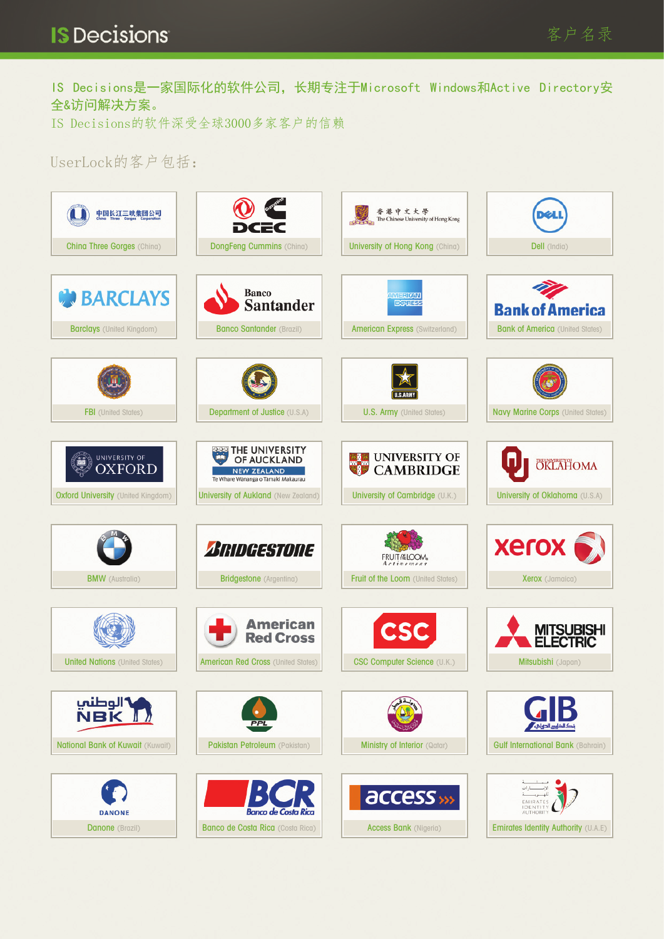IS Decisions是一家国际化的软件公司,长期专注于Microsoft Windows和Active Directory安 全&访问解决方案。

IS Decisions的软件深受全球3000多家客户的信赖

## UserLock的客户包括: